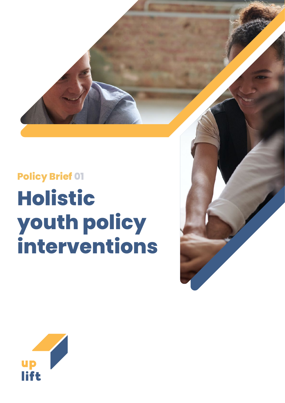

# **Policy Brief 01 Holistic youth policy interventions**



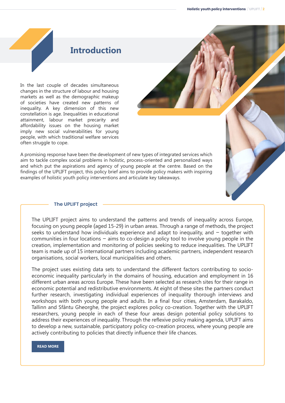## **Introduction**

In the last couple of decades simultaneous changes in the structure of labour and housing markets as well as the demographic makeup of societies have created new patterns of inequality. A key dimension of this new constellation is age. Inequalities in educational attainment, labour market precarity and affordability issues on the housing market imply new social vulnerabilities for young people, with which traditional welfare services often struggle to cope.

A promising response have been the development of new types of integrated services which aim to tackle complex social problems in holistic, process-oriented and personalized ways and which put the aspirations and agency of young people at the centre. Based on the findings of the UPLIFT project, this policy brief aims to provide policy makers with inspiring examples of holistic youth policy interventions and articulate key takeaways.

#### **The UPLIFT project**

The UPLIFT project aims to understand the patterns and trends of inequality across Europe, focusing on young people (aged 15-29) in urban areas. Through a range of methods, the project seeks to understand how individuals experience and adapt to inequality, and  $-$  together with communities in four locations – aims to co-design a policy tool to involve young people in the creation, implementation and monitoring of policies seeking to reduce inequalities. The UPLIFT team is made up of 15 international partners including academic partners, independent research organisations, social workers, local municipalities and others.

The project uses existing data sets to understand the different factors contributing to socioeconomic inequality particularly in the domains of housing, education and employment in 16 different urban areas across Europe. These have been selected as research sites for their range in economic potential and redistributive environments. At eight of these sites the partners conduct further research, investigating individual experiences of inequality thorough interviews and workshops with both young people and adults. In a final four cities, Amsterdam, Barakaldo, Tallinn and Sfântu Gheorghe, the project explores policy co-creation. Together with the UPLIFT researchers, young people in each of these four areas design potential policy solutions to address their experiences of inequality. Through the reflexive policy making agenda, UPLIFT aims to develop a new, sustainable, participatory policy co-creation process, where young people are actively contributing to policies that directly influence their life chances.

#### **[READ MORE](https://www.uplift-youth.eu/)**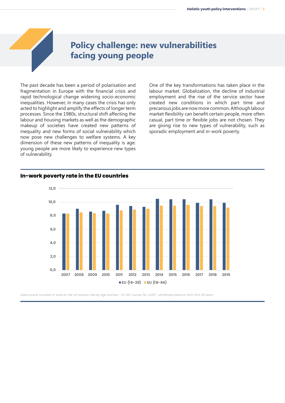## **Policy challenge: new vulnerabilities facing young people**

The past decade has been a period of polarisation and fragmentation in Europe with the financial crisis and rapid technological change widening socio-economic inequalities. However, in many cases the crisis has only acted to highlight and amplify the effects of longer term processes. Since the 1980s, structural shift affecting the labour and housing markets as well as the demographic makeup of societies have created new patterns of inequality and new forms of social vulnerability which now pose new challenges to welfare systems. A key dimension of these new patterns of inequality is age: young people are more likely to experience new types of vulnerability.

One of the key transformations has taken place in the labour market. Globalization, the decline of industrial employment and the rise of the service sector have created new conditions in which part time and precarious jobs are now more common. Although labour market flexibility can benefit certain people, more often casual, part time or flexible jobs are not chosen. They are giving rise to new types of vulnerability, such as sporadic employment and in-work poverty.



#### **In-work poverty rate in the EU countries**

Data source: Eurostat, In-work at-risk-of-poverty rate by age and sex - EU-SILC survey [ilc\_iw01] – employed persons, from 16 to 29 years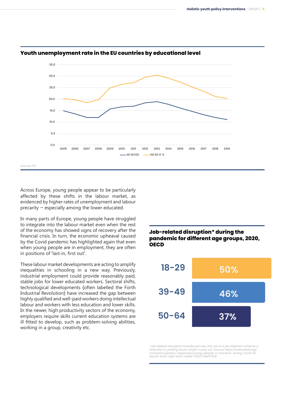

#### **Youth unemployment rate in the EU countries by educational level**

Across Europe, young people appear to be particularly affected by these shifts in the labour market, as evidenced by higher rates of unemployment and labour precarity – especially among the lower educated.

In many parts of Europe, young people have struggled to integrate into the labour market even when the rest of the economy has showed signs of recovery after the financial crisis. In turn, the economic upheaval caused by the Covid pandemic has highlighted again that even when young people are in employment, they are often in positions of 'last-in, first out'.

These labour market developments are acting to amplify inequalities in schooling in a new way. Previously, industrial employment could provide reasonably paid, stable jobs for lower educated workers. Sectoral shifts, technological developments (often labelled the Forth Industrial Revolution) have increased the gap between highly qualified and well-paid workers doing intellectual labour and workers with less education and lower skills. In the newer, high productivity sectors of the economy, employers require skills current education systems are ill fitted to develop, such as problem-solving abilities, working in a group, creativity etc.

### **Job-related disruption\* during the pandemic for different age groups, 2020, OECD**



\*Job related disruption includes job loss, the use of a job retention scheme, a reduction in working hours, and/or a pay cut. Source: https://www.oecd.org/ coronavirus/policy-responses/young-people-s-concerns-during-covid-19- results-from-risks-that-matter-2020-64b51763/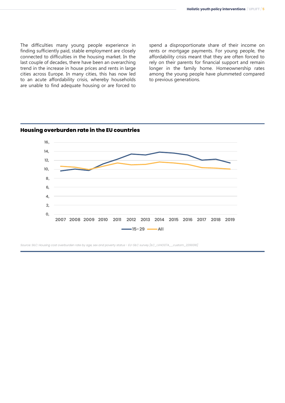The difficulties many young people experience in finding sufficiently paid, stable employment are closely connected to difficulties in the housing market. In the last couple of decades, there have been an overarching trend in the increase in house prices and rents in large cities across Europe. In many cities, this has now led to an acute affordability crisis, whereby households are unable to find adequate housing or are forced to

spend a disproportionate share of their income on rents or mortgage payments. For young people, the affordability crisis meant that they are often forced to rely on their parents for financial support and remain longer in the family home. Homeownership rates among the young people have plummeted compared to previous generations.



Source: SILC: Housing cost overburden rate by age, sex and poverty status - EU-SILC survey [ILC\_LVHO07A\_\_custom\_2299316]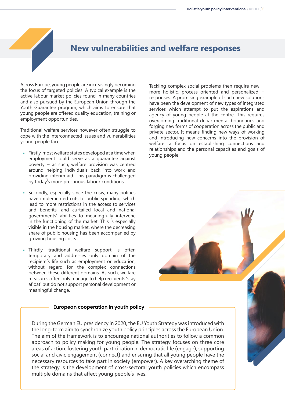## **New vulnerabilities and welfare responses**

Across Europe, young people are increasingly becoming the focus of targeted policies. A typical example is the active labour market policies found in many countries and also pursued by the European Union through the Youth Guarantee program, which aims to ensure that young people are offered quality education, training or employment opportunities.

Traditional welfare services however often struggle to cope with the interconnected issues and vulnerabilities young people face.

- **•** Firstly, most welfare states developed at a time when employment could serve as a guarantee against poverty – as such, welfare provision was centred around helping individuals back into work and providing interim aid. This paradigm is challenged by today's more precarious labour conditions.
- **•** Secondly, especially since the crisis, many polities have implemented cuts to public spending, which lead to more restrictions in the access to services and benefits, and curtailed local and national governments' abilities to meaningfully intervene in the functioning of the market. This is especially visible in the housing market, where the decreasing share of public housing has been accompanied by growing housing costs.
- **•** Thirdly, traditional welfare support is often temporary and addresses only domain of the recipient's life such as employment or education, without regard for the complex connections between these different domains. As such, welfare measures often only manage to help recipients 'stay afloat' but do not support personal development or meaningful change.

#### **European cooperation in youth policy**

During the German EU presidency in 2020, the EU Youth Strategy was introduced with the long-term aim to synchronize youth policy principles across the European Union. The aim of the framework is to encourage national authorities to follow a common approach to policy making for young people. The strategy focuses on three core areas of action: fostering youth participation in democratic life (engage), supporting social and civic engagement (connect) and ensuring that all young people have the necessary resources to take part in society (empower). A key overarching theme of the strategy is the development of cross-sectoral youth policies which encompass multiple domains that affect young people's lives.

Tackling complex social problems then require new – more holistic, process oriented and personalized – responses. A promising example of such new solutions have been the development of new types of integrated services which attempt to put the aspirations and agency of young people at the centre. This requires overcoming traditional departmental boundaries and forging new forms of cooperation across the public and private sector. It means finding new ways of working and introducing new concerns into the provision of welfare: a focus on establishing connections and relationships and the personal capacities and goals of young people.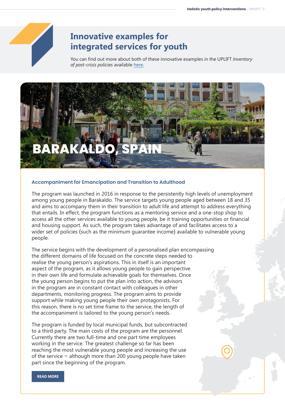

## **Innovative examples for integrated services for youth**

You can find out more about both of these innovative examples in the UPLIFT *Inventory of post-crisis policies* available [here.](https://www.uplift-youth.eu/sites/default/files/upload/files/D%202.3%20Inventory%20of%20post-crisis%20policies.pdf)



#### **Accompaniment for Emancipation and Transition to Adulthood**

The program was launched in 2016 in response to the persistently high levels of unemployment among young people in Barakaldo. The service targets young people aged between 18 and 35 and aims to accompany them in their transition to adult life and attempt to address everything that entails. In effect, the program functions as a mentoring service and a one-stop shop to access all the other services available to young people, be it training opportunities or financial and housing support. As such, the program takes advantage of and facilitates access to a wider set of policies (such as the minimum guarantee income) available to vulnerable young people.

The service begins with the development of a personalised plan encompassing the different domains of life focused on the concrete steps needed to realise the young person's aspirations. This in itself is an important aspect of the program, as it allows young people to gain perspective in their own life and formulate achievable goals for themselves. Once the young person begins to put the plan into action, the advisors in the program are in constant contact with colleagues in other departments, monitoring progress. The program aims to provide support while making young people their own protagonists. For this reason, there is no set time frame to the service, the length of the accompaniment is tailored to the young person's needs.

The program is funded by local municipal funds, but subcontracted to a third party. The main costs of the program are the personnel. Currently there are two full-time and one part time employees working in the service. The greatest challenge so far has been reaching the most vulnerable young people and increasing the use of the service – although more than 200 young people have taken part since the beginning of the program.

**[READ MORE](https://www.gaztebulegoa.net/servicios/)**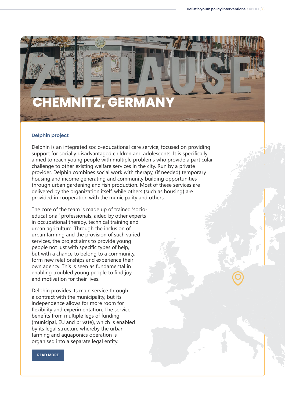# **CHEMNITZ, GERMANY**

#### **Delphin project**

Delphin is an integrated socio-educational care service, focused on providing support for socially disadvantaged children and adolescents. It is specifically aimed to reach young people with multiple problems who provide a particular challenge to other existing welfare services in the city. Run by a private provider, Delphin combines social work with therapy, (if needed) temporary housing and income generating and community building opportunities through urban gardening and fish production. Most of these services are delivered by the organization itself, while others (such as housing) are provided in cooperation with the municipality and others.

The core of the team is made up of trained 'socioeducational' professionals, aided by other experts in occupational therapy, technical training and urban agriculture. Through the inclusion of urban farming and the provision of such varied services, the project aims to provide young people not just with specific types of help, but with a chance to belong to a community, form new relationships and experience their own agency. This is seen as fundamental in enabling troubled young people to find joy and motivation for their lives.

Delphin provides its main service through a contract with the municipality, but its independence allows for more room for flexibility and experimentation. The service benefits from multiple legs of funding (municipal, EU and private), which is enabled by its legal structure whereby the urban farming and aquaponics operation is organised into a separate legal entity.

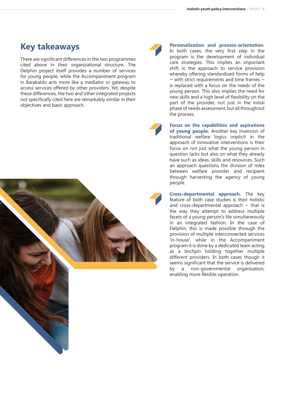## **Key takeaways**

There are significant differences in the two programmes cited above in their organizational structure. The Delphin project itself provides a number of services for young people, while the Accompaniment program in Barakaldo acts more like a mediator or gateway to access services offered by other providers. Yet, despite these differences, the two and other integrated projects not specifically cited here are remarkably similar in their objectives and basic approach.





**Personalization and process-orientation.** In both cases, the very first step in the program is the development of individual care strategies. This implies an important shift in the approach to service provision whereby offering standardized forms of help – with strict requirements and time frames – is replaced with a focus on the needs of the young person. This also implies the need for new skills and a high level of flexibility on the part of the provider, not just in the initial phase of needs assessment, but all throughout the process.

**Focus on the capabilities and aspirations of young people.** Another key inversion of traditional welfare logics implicit in the approach of innovative interventions is their focus on not just what the young person in question lacks but also on what they already have such as ideas, skills and resources. Such an approach questions the division of roles between welfare provider and recipient through harvesting the agency of young people.

**Cross-departmental approach.** The key feature of both case studies is their holistic and cross-departmental approach  $-$  that is the way they attempt to address multiple facets of a young person's life simultaneously in an integrated fashion. In the case of Delphin, this is made possible through the provision of multiple interconnected services 'in-house', while in the Accompaniment program it is done by a dedicated team acting as a linchpin holding together multiple different providers. In both cases though it seems significant that the service is delivered by a non-governmental organization, enabling more flexible operation.